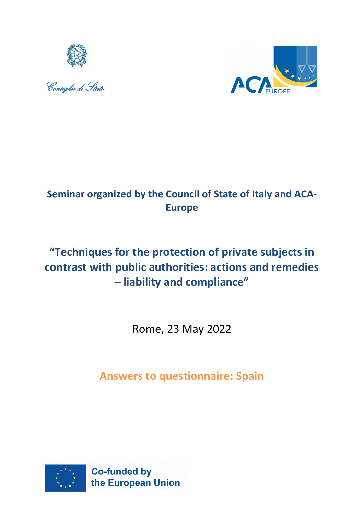





## **Seminar organized by the Council of State of Italy and ACA-Europe**

# **"Techniques for the protection of private subjects in contrast with public authorities: actions and remedies – liability and compliance"**

Rome, 23 May 2022

**Answers to questionnaire: Spain**

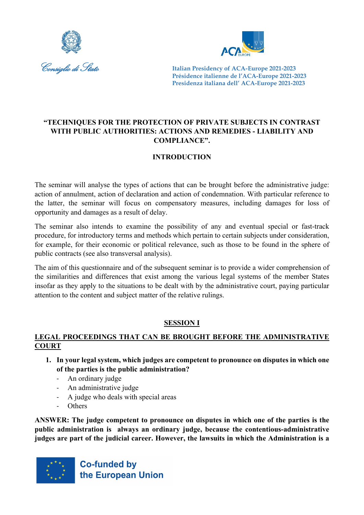



## **"TECHNIQUES FOR THE PROTECTION OF PRIVATE SUBJECTS IN CONTRAST WITH PUBLIC AUTHORITIES: ACTIONS AND REMEDIES - LIABILITY AND COMPLIANCE".**

## **INTRODUCTION**

The seminar will analyse the types of actions that can be brought before the administrative judge: action of annulment, action of declaration and action of condemnation. With particular reference to the latter, the seminar will focus on compensatory measures, including damages for loss of opportunity and damages as a result of delay.

The seminar also intends to examine the possibility of any and eventual special or fast-track procedure, for introductory terms and methods which pertain to certain subjects under consideration, for example, for their economic or political relevance, such as those to be found in the sphere of public contracts (see also transversal analysis).

The aim of this questionnaire and of the subsequent seminar is to provide a wider comprehension of the similarities and differences that exist among the various legal systems of the member States insofar as they apply to the situations to be dealt with by the administrative court, paying particular attention to the content and subject matter of the relative rulings.

## **SESSION I**

## **LEGAL PROCEEDINGS THAT CAN BE BROUGHT BEFORE THE ADMINISTRATIVE COURT**

- **1. In your legal system, which judges are competent to pronounce on disputes in which one of the parties is the public administration?**
	- An ordinary judge
	- An administrative judge
	- A judge who deals with special areas
	- Others

**ANSWER: The judge competent to pronounce on disputes in which one of the parties is the public administration is always an ordinary judge, because the contentious-administrative judges are part of the judicial career. However, the lawsuits in which the Administration is a** 

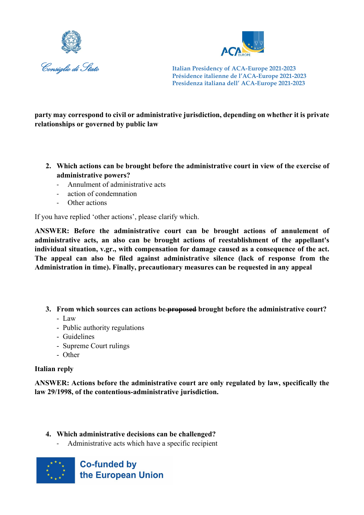



**party may correspond to civil or administrative jurisdiction, depending on whether it is private relationships or governed by public law**

- **2. Which actions can be brought before the administrative court in view of the exercise of administrative powers?**
	- Annulment of administrative acts
	- action of condemnation
	- Other actions

If you have replied 'other actions', please clarify which.

**ANSWER: Before the administrative court can be brought actions of annulement of administrative acts, an also can be brought actions of reestablishment of the appellant's individual situation, v.gr., with compensation for damage caused as a consequence of the act. The appeal can also be filed against administrative silence (lack of response from the Administration in time). Finally, precautionary measures can be requested in any appeal**

- **3. From which sources can actions be proposed brought before the administrative court?** 
	- Law
	- Public authority regulations
	- Guidelines
	- Supreme Court rulings
	- Other

#### **Italian reply**

**ANSWER: Actions before the administrative court are only regulated by law, specifically the law 29/1998, of the contentious-administrative jurisdiction.** 

- **4. Which administrative decisions can be challenged?**
	- Administrative acts which have a specific recipient

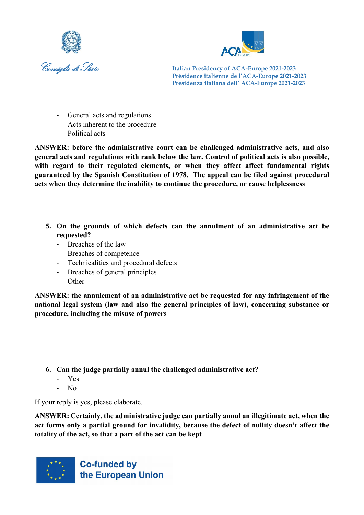



- General acts and regulations
- Acts inherent to the procedure
- Political acts

**ANSWER: before the administrative court can be challenged administrative acts, and also general acts and regulations with rank below the law. Control of political acts is also possible, with regard to their regulated elements, or when they affect affect fundamental rights guaranteed by the Spanish Constitution of 1978. The appeal can be filed against procedural acts when they determine the inability to continue the procedure, or cause helplessness**

- **5. On the grounds of which defects can the annulment of an administrative act be requested?**
	- Breaches of the law
	- Breaches of competence
	- Technicalities and procedural defects
	- Breaches of general principles
	- **Other**

**ANSWER: the annulement of an administrative act be requested for any infringement of the national legal system (law and also the general principles of law), concerning substance or procedure, including the misuse of powers**

- **6. Can the judge partially annul the challenged administrative act?**
	- Yes
	- No

If your reply is yes, please elaborate.

**ANSWER: Certainly, the administrative judge can partially annul an illegitimate act, when the act forms only a partial ground for invalidity, because the defect of nullity doesn't affect the totality of the act, so that a part of the act can be kept**

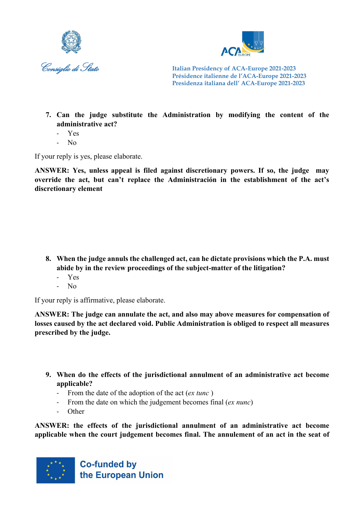



- **7. Can the judge substitute the Administration by modifying the content of the administrative act?**
	- Yes
	- No

If your reply is yes, please elaborate.

**ANSWER: Yes, unless appeal is filed against discretionary powers. If so, the judge may override the act, but can't replace the Administración in the establishment of the act's discretionary element**

- **8. When the judge annuls the challenged act, can he dictate provisions which the P.A. must abide by in the review proceedings of the subject-matter of the litigation?**
	- Yes
	- No

If your reply is affirmative, please elaborate.

**ANSWER: The judge can annulate the act, and also may above measures for compensation of losses caused by the act declared void. Public Administration is obliged to respect all measures prescribed by the judge.**

- **9. When do the effects of the jurisdictional annulment of an administrative act become applicable?**
	- From the date of the adoption of the act (*ex tunc* )
	- From the date on which the judgement becomes final (*ex nunc*)
	- **Other**

**ANSWER: the effects of the jurisdictional annulment of an administrative act become applicable when the court judgement becomes final. The annulement of an act in the seat of** 

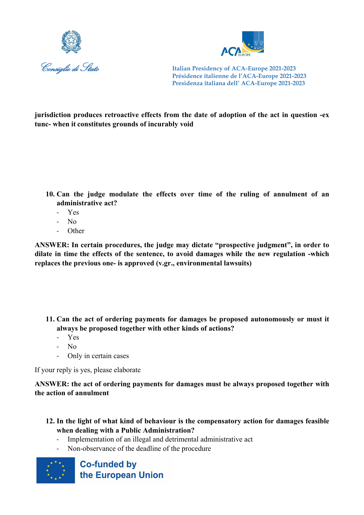



**jurisdiction produces retroactive effects from the date of adoption of the act in question -ex tunc- when it constitutes grounds of incurably void**

- **10. Can the judge modulate the effects over time of the ruling of annulment of an administrative act?**
	- Yes
	- No
	- Other

**ANSWER: In certain procedures, the judge may dictate "prospective judgment", in order to dilate in time the effects of the sentence, to avoid damages while the new regulation -which replaces the previous one- is approved (v.gr., environmental lawsuits)**

- **11. Can the act of ordering payments for damages be proposed autonomously or must it always be proposed together with other kinds of actions?**
	- Yes
	- No
	- Only in certain cases

If your reply is yes, please elaborate

**ANSWER: the act of ordering payments for damages must be always proposed together with the action of annulment**

- **12. In the light of what kind of behaviour is the compensatory action for damages feasible when dealing with a Public Administration?**
	- Implementation of an illegal and detrimental administrative act
	- Non-observance of the deadline of the procedure

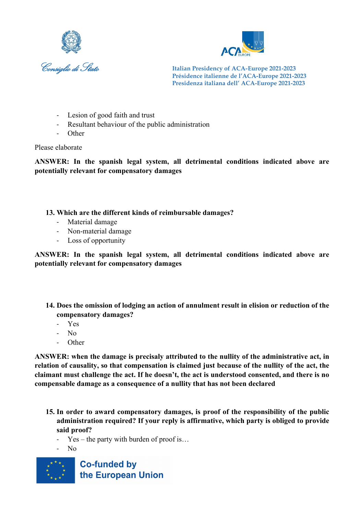



- Lesion of good faith and trust
- Resultant behaviour of the public administration
- Other

#### Please elaborate

**ANSWER: In the spanish legal system, all detrimental conditions indicated above are potentially relevant for compensatory damages**

#### **13. Which are the different kinds of reimbursable damages?**

- Material damage
- Non-material damage
- Loss of opportunity

**ANSWER: In the spanish legal system, all detrimental conditions indicated above are potentially relevant for compensatory damages**

- **14. Does the omission of lodging an action of annulment result in elision or reduction of the compensatory damages?**
	- Yes
	- No
	- **Other**

**ANSWER: when the damage is precisaly attributed to the nullity of the administrative act, in relation of causality, so that compensation is claimed just because of the nullity of the act, the claimant must challenge the act. If he doesn't, the act is understood consented, and there is no compensable damage as a consequence of a nullity that has not been declared**

- **15. In order to award compensatory damages, is proof of the responsibility of the public administration required? If your reply is affirmative, which party is obliged to provide said proof?**
	- $Yes the party with burden of proof is...$
	- N<sub>o</sub>

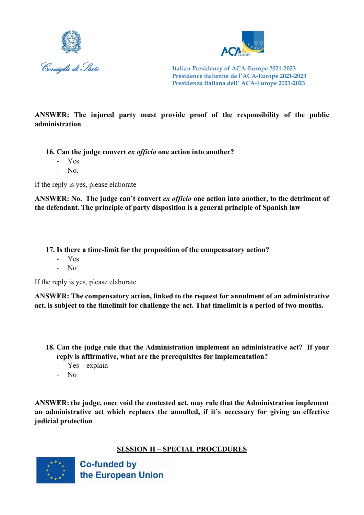



## **ANSWER: The injured party must provide proof of the responsibility of the public administration**

**16. Can the judge convert** *ex officio* **one action into another?** 

- Yes
- $N_{0}$ .

If the reply is yes, please elaborate

**ANSWER: No. The judge can't convert** *ex officio* **one action into another, to the detriment of the defendant. The principle of party disposition is a general principle of Spanish law**

**17. Is there a time-limit for the proposition of the compensatory action?**

- Yes
- N<sub>o</sub>

If the reply is yes, please elaborate

**ANSWER: The compensatory action, linked to the request for annulment of an administrative act, is subject to the timelimit for challenge the act. That timelimit is a period of two months.**

- **18. Can the judge rule that the Administration implement an administrative act? If your reply is affirmative, what are the prerequisites for implementation?**
	- Yes explain
	- No

**ANSWER: the judge, once void the contested act, may rule that the Administration implement an administrative act which replaces the annulled, if it's necessary for giving an effective judicial protection**

#### **SESSION II – SPECIAL PROCEDURES**

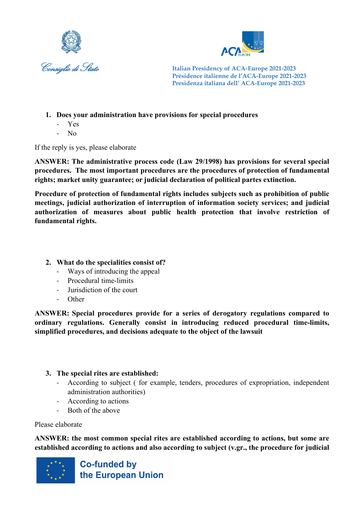



- **1. Does your administration have provisions for special procedures**
	- Yes
	- No

If the reply is yes, please elaborate

**ANSWER: The administrative process code (Law 29/1998) has provisions for several special procedures. The most important procedures are the procedures of protection of fundamental rights; market unity guarantee; or judicial declaration of political partes extinction.**

**Procedure of protection of fundamental rights includes subjects such as prohibition of public meetings, judicial authorization of interruption of information society services; and judicial authorization of measures about public health protection that involve restriction of fundamental rights.**

## **2. What do the specialities consist of?**

- Ways of introducing the appeal
- Procedural time-limits
- Jurisdiction of the court
- Other

**ANSWER: Special procedures provide for a series of derogatory regulations compared to ordinary regulations. Generally consist in introducing reduced procedural time-limits, simplified procedures, and decisions adequate to the object of the lawsuit**

#### **3. The special rites are established:**

- According to subject ( for example, tenders, procedures of expropriation, independent administration authorities)
- According to actions
- Both of the above

#### Please elaborate

**ANSWER: the most common special rites are established according to actions, but some are established according to actions and also according to subject (v.gr., the procedure for judicial** 

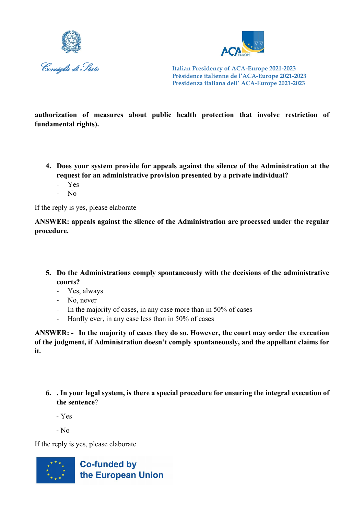



**authorization of measures about public health protection that involve restriction of fundamental rights).**

- **4. Does your system provide for appeals against the silence of the Administration at the request for an administrative provision presented by a private individual?**
	- Yes
	- No

If the reply is yes, please elaborate

**ANSWER: appeals against the silence of the Administration are processed under the regular procedure.**

- **5. Do the Administrations comply spontaneously with the decisions of the administrative courts?**
	- Yes, always
	- No, never
	- In the majority of cases, in any case more than in 50% of cases
	- Hardly ever, in any case less than in 50% of cases

**ANSWER: - In the majority of cases they do so. However, the court may order the execution of the judgment, if Administration doesn't comply spontaneously, and the appellant claims for it.**

- **6. . In your legal system, is there a special procedure for ensuring the integral execution of the sentence**?
	- Yes
	- $-$  No.

If the reply is yes, please elaborate

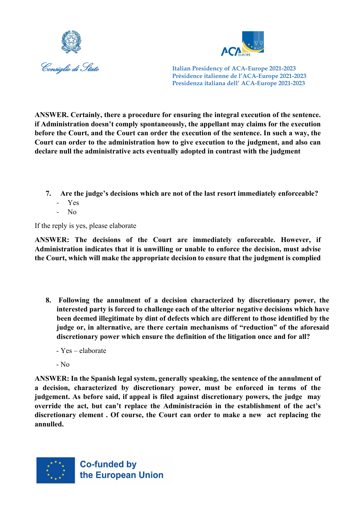



**ANSWER. Certainly, there a procedure for ensuring the integral execution of the sentence. if Administration doesn't comply spontaneously, the appellant may claims for the execution before the Court, and the Court can order the execution of the sentence. In such a way, the Court can order to the administration how to give execution to the judgment, and also can declare null the administrative acts eventually adopted in contrast with the judgment**

- **7. Are the judge's decisions which are not of the last resort immediately enforceable?**
	- Yes
	- $\overline{N}$

If the reply is yes, please elaborate

**ANSWER: The decisions of the Court are immediately enforceable. However, if Administration indicates that it is unwilling or unable to enforce the decision, must advise the Court, which will make the appropriate decision to ensure that the judgment is complied**

- **8. Following the annulment of a decision characterized by discretionary power, the interested party is forced to challenge each of the ulterior negative decisions which have been deemed illegitimate by dint of defects which are different to those identified by the judge or, in alternative, are there certain mechanisms of "reduction" of the aforesaid discretionary power which ensure the definition of the litigation once and for all?**
	- Yes elaborate
	- No

**ANSWER: In the Spanish legal system, generally speaking, the sentence of the annulment of a decision, characterized by discretionary power, must be enforced in terms of the judgement. As before said, if appeal is filed against discretionary powers, the judge may override the act, but can't replace the Administración in the establishment of the act's discretionary element . Of course, the Court can order to make a new act replacing the annulled.**

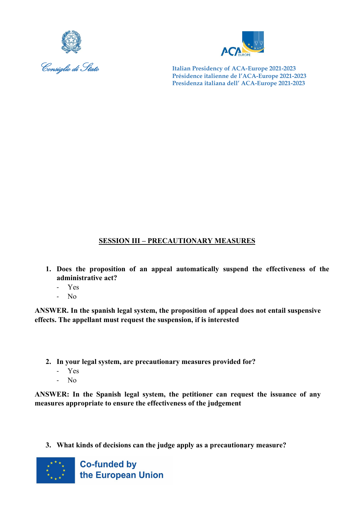



## **SESSION III – PRECAUTIONARY MEASURES**

- **1. Does the proposition of an appeal automatically suspend the effectiveness of the administrative act?** 
	- Yes
	- No

**ANSWER. In the spanish legal system, the proposition of appeal does not entail suspensive effects. The appellant must request the suspension, if is interested**

- **2. In your legal system, are precautionary measures provided for?**
	- Yes
	- No

**ANSWER: In the Spanish legal system, the petitioner can request the issuance of any measures appropriate to ensure the effectiveness of the judgement**

**3. What kinds of decisions can the judge apply as a precautionary measure?**

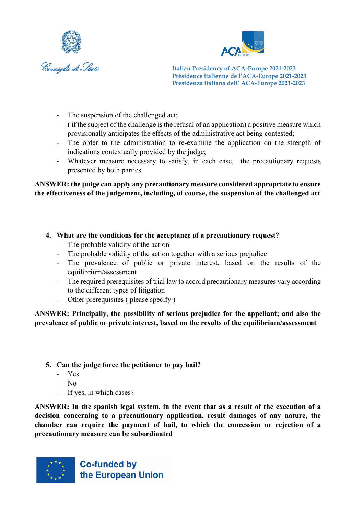



- The suspension of the challenged act;
- ( if the subject of the challenge is the refusal of an application) a positive measure which provisionally anticipates the effects of the administrative act being contested;
- The order to the administration to re-examine the application on the strength of indications contextually provided by the judge;
- Whatever measure necessary to satisfy, in each case, the precautionary requests presented by both parties

**ANSWER: the judge can apply any precautionary measure considered appropriate to ensure the effectiveness of the judgement, including, of course, the suspension of the challenged act**

- **4. What are the conditions for the acceptance of a precautionary request?**
	- The probable validity of the action
	- The probable validity of the action together with a serious prejudice
	- The prevalence of public or private interest, based on the results of the equilibrium/assessment
	- The required prerequisites of trial law to accord precautionary measures vary according to the different types of litigation
	- Other prerequisites ( please specify )

**ANSWER: Principally, the possibility of serious prejudice for the appellant; and also the prevalence of public or private interest, based on the results of the equilibrium/assessment**

- **5. Can the judge force the petitioner to pay bail?**
	- Yes
	- $N<sub>0</sub>$
	- If yes, in which cases?

**ANSWER: In the spanish legal system, in the event that as a result of the execution of a decision concerning to a precautionary application, result damages of any nature, the chamber can require the payment of bail, to which the concession or rejection of a precautionary measure can be subordinated**

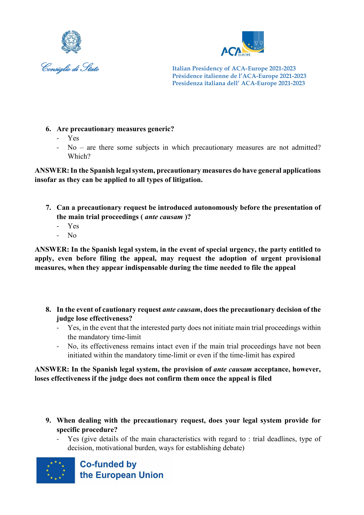



- **6. Are precautionary measures generic?**
	- Yes
	- No are there some subjects in which precautionary measures are not admitted? Which?

**ANSWER:In the Spanish legal system, precautionary measures do have general applications insofar as they can be applied to all types of litigation.**

- **7. Can a precautionary request be introduced autonomously before the presentation of the main trial proceedings (** *ante causam* **)?**
	- Yes
	- No

**ANSWER: In the Spanish legal system, in the event of special urgency, the party entitled to apply, even before filing the appeal, may request the adoption of urgent provisional measures, when they appear indispensable during the time needed to file the appeal**

- **8. In the event of cautionary request** *ante causam***, does the precautionary decision of the judge lose effectiveness?**
	- Yes, in the event that the interested party does not initiate main trial proceedings within the mandatory time-limit
	- No, its effectiveness remains intact even if the main trial proceedings have not been initiated within the mandatory time-limit or even if the time-limit has expired

#### ANSWER: In the Spanish legal system, the provision of *ante causam* acceptance, however, **loses effectiveness if the judge does not confirm them once the appeal is filed**

- **9. When dealing with the precautionary request, does your legal system provide for specific procedure?**
	- Yes (give details of the main characteristics with regard to : trial deadlines, type of decision, motivational burden, ways for establishing debate)

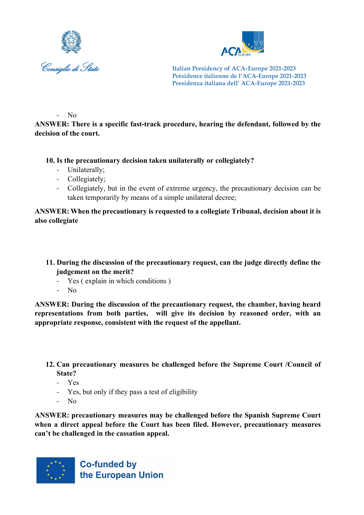



- No

**ANSWER: There is a specific fast-track procedure, hearing the defendant, followed by the decision of the court.**

**10. Is the precautionary decision taken unilaterally or collegiately?**

- Unilaterally;
- Collegiately;
- Collegiately, but in the event of extreme urgency, the precautionary decision can be taken temporarily by means of a simple unilateral decree;

**ANSWER: When the precautionary is requested to a collegiate Tribunal, decision about it is also collegiate**

- **11. During the discussion of the precautionary request, can the judge directly define the judgement on the merit?**
	- Yes (explain in which conditions)
	- No

**ANSWER: During the discussion of the precautionary request, the chamber, having heard representations from both parties, will give its decision by reasoned order, with an appropriate response, consistent with the request of the appellant.**

**12. Can precautionary measures be challenged before the Supreme Court /Council of State?**

- Yes
- Yes, but only if they pass a test of eligibility
- No

**ANSWER: precautionary measures may be challenged before the Spanish Supreme Court when a direct appeal before the Court has been filed. However, precautionary measures can't be challenged in the cassation appeal.**